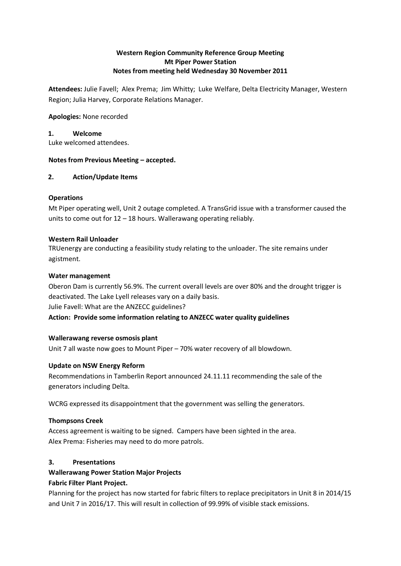# **Western Region Community Reference Group Meeting Mt Piper Power Station Notes from meeting held Wednesday 30 November 2011**

**Attendees:** Julie Favell; Alex Prema; Jim Whitty; Luke Welfare, Delta Electricity Manager, Western Region; Julia Harvey, Corporate Relations Manager.

#### **Apologies:** None recorded

#### **1. Welcome**

Luke welcomed attendees.

#### **Notes from Previous Meeting – accepted.**

#### **2. Action/Update Items**

# **Operations**

Mt Piper operating well, Unit 2 outage completed. A TransGrid issue with a transformer caused the units to come out for 12 – 18 hours. Wallerawang operating reliably.

#### **Western Rail Unloader**

TRUenergy are conducting a feasibility study relating to the unloader. The site remains under agistment.

#### **Water management**

Oberon Dam is currently 56.9%. The current overall levels are over 80% and the drought trigger is deactivated. The Lake Lyell releases vary on a daily basis. Julie Favell: What are the ANZECC guidelines? **Action: Provide some information relating to ANZECC water quality guidelines**

# **Wallerawang reverse osmosis plant**

Unit 7 all waste now goes to Mount Piper – 70% water recovery of all blowdown.

# **Update on NSW Energy Reform**

Recommendations in Tamberlin Report announced 24.11.11 recommending the sale of the generators including Delta.

WCRG expressed its disappointment that the government was selling the generators.

#### **Thompsons Creek**

Access agreement is waiting to be signed. Campers have been sighted in the area. Alex Prema: Fisheries may need to do more patrols.

# **3. Presentations**

# **Wallerawang Power Station Major Projects**

# **Fabric Filter Plant Project.**

Planning for the project has now started for fabric filters to replace precipitators in Unit 8 in 2014/15 and Unit 7 in 2016/17. This will result in collection of 99.99% of visible stack emissions.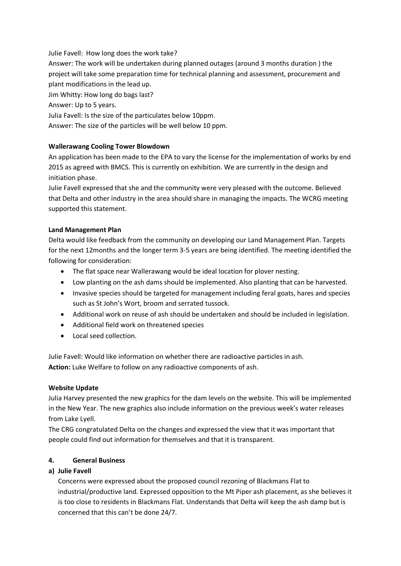Julie Favell: How long does the work take?

Answer: The work will be undertaken during planned outages (around 3 months duration ) the project will take some preparation time for technical planning and assessment, procurement and plant modifications in the lead up.

Jim Whitty: How long do bags last?

Answer: Up to 5 years.

Julia Favell: Is the size of the particulates below 10ppm.

Answer: The size of the particles will be well below 10 ppm.

# **Wallerawang Cooling Tower Blowdown**

An application has been made to the EPA to vary the license for the implementation of works by end 2015 as agreed with BMCS. This is currently on exhibition. We are currently in the design and initiation phase.

Julie Favell expressed that she and the community were very pleased with the outcome. Believed that Delta and other industry in the area should share in managing the impacts. The WCRG meeting supported this statement.

# **Land Management Plan**

Delta would like feedback from the community on developing our Land Management Plan. Targets for the next 12months and the longer term 3-5 years are being identified. The meeting identified the following for consideration:

- The flat space near Wallerawang would be ideal location for plover nesting.
- Low planting on the ash dams should be implemented. Also planting that can be harvested.
- Invasive species should be targeted for management including feral goats, hares and species such as St John's Wort, broom and serrated tussock.
- Additional work on reuse of ash should be undertaken and should be included in legislation.
- Additional field work on threatened species
- Local seed collection.

Julie Favell: Would like information on whether there are radioactive particles in ash. **Action:** Luke Welfare to follow on any radioactive components of ash.

# **Website Update**

Julia Harvey presented the new graphics for the dam levels on the website. This will be implemented in the New Year. The new graphics also include information on the previous week's water releases from Lake Lyell.

The CRG congratulated Delta on the changes and expressed the view that it was important that people could find out information for themselves and that it is transparent.

# **4. General Business**

# **a) Julie Favell**

Concerns were expressed about the proposed council rezoning of Blackmans Flat to industrial/productive land. Expressed opposition to the Mt Piper ash placement, as she believes it is too close to residents in Blackmans Flat. Understands that Delta will keep the ash damp but is concerned that this can't be done 24/7.